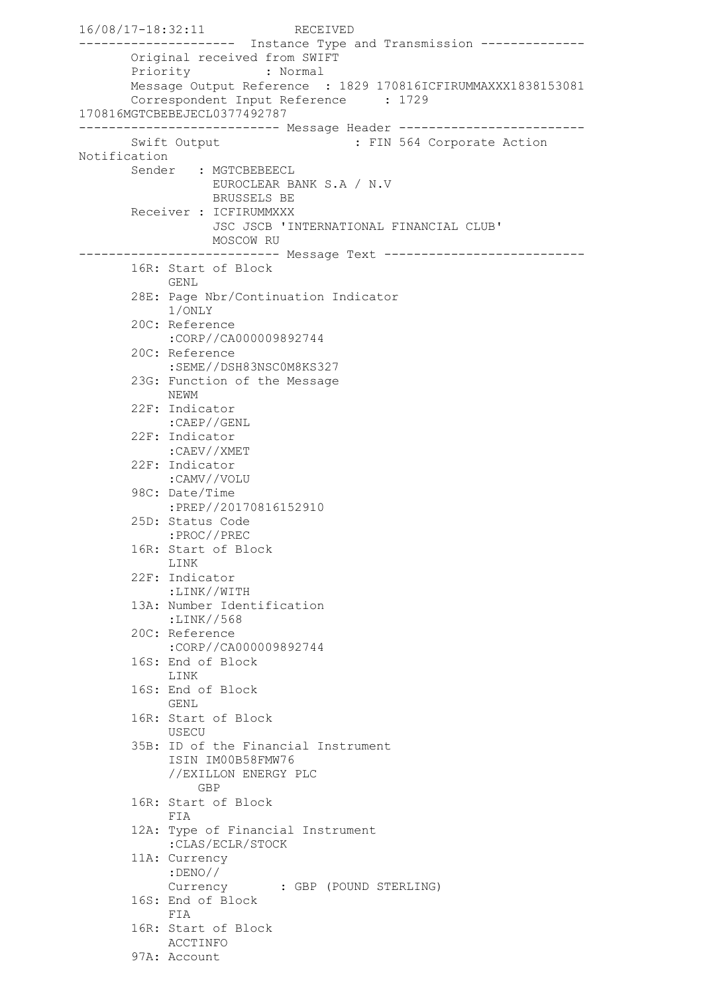16/08/17-18:32:11 RECEIVED --------------------- Instance Type and Transmission -------------- Original received from SWIFT Priority : Normal Message Output Reference : 1829 170816ICFIRUMMAXXX1838153081 Correspondent Input Reference : 1729 170816MGTCBEBEJECL0377492787 --------------------------- Message Header ------------------------- Swift Output : FIN 564 Corporate Action Notification Sender : MGTCBEBEECL EUROCLEAR BANK S.A / N.V BRUSSELS BE Receiver : ICFIRUMMXXX JSC JSCB 'INTERNATIONAL FINANCIAL CLUB' MOSCOW RU --------------------------- Message Text --------------------------- 16R: Start of Block GENL 28E: Page Nbr/Continuation Indicator 1/ONLY 20C: Reference :CORP//CA000009892744 20C: Reference :SEME//DSH83NSC0M8KS327 23G: Function of the Message NEWM 22F: Indicator :CAEP//GENL 22F: Indicator :CAEV//XMET 22F: Indicator :CAMV//VOLU 98C: Date/Time :PREP//20170816152910 25D: Status Code :PROC//PREC 16R: Start of Block LINK 22F: Indicator :LINK//WITH 13A: Number Identification :LINK//568 20C: Reference :CORP//CA000009892744 16S: End of Block LINK 16S: End of Block GENL 16R: Start of Block USECU 35B: ID of the Financial Instrument ISIN IM00B58FMW76 //EXILLON ENERGY PLC GBP 16R: Start of Block FIA 12A: Type of Financial Instrument :CLAS/ECLR/STOCK 11A: Currency :DENO// Currency : GBP (POUND STERLING) 16S: End of Block FIA 16R: Start of Block ACCTINFO 97A: Account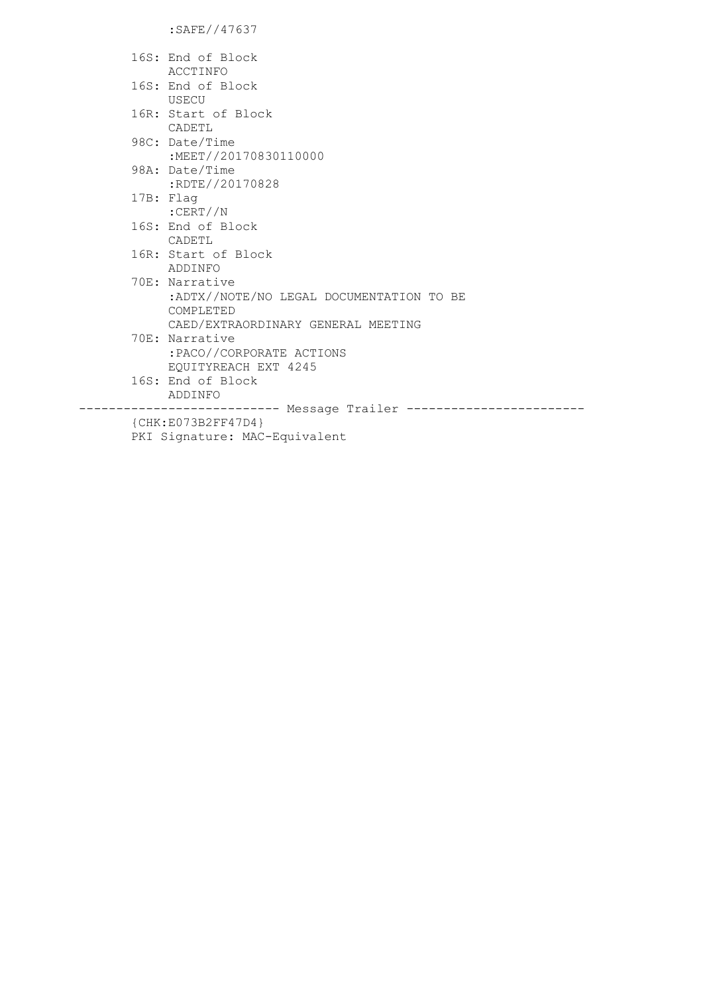:SAFE//47637

|                       | 16S: End of Block                             |
|-----------------------|-----------------------------------------------|
|                       | ACCTINFO                                      |
|                       | 16S: End of Block                             |
|                       | USECU                                         |
|                       | 16R: Start of Block                           |
|                       | CADETL                                        |
|                       | 98C: Date/Time                                |
|                       | :MEET//20170830110000                         |
|                       | 98A: Date/Time                                |
|                       | :RDTE//20170828                               |
|                       | 17B: Flag                                     |
|                       | :CERT//N                                      |
|                       | 16S: End of Block                             |
|                       | CADETL                                        |
|                       | 16R: Start of Block                           |
|                       | ADDINFO                                       |
|                       | 70E: Narrative                                |
|                       | :ADTX//NOTE/NO LEGAL DOCUMENTATION TO BE      |
|                       | COMPLETED                                     |
|                       | CAED/EXTRAORDINARY GENERAL MEETING            |
|                       | 70E: Narrative                                |
|                       | :PACO//CORPORATE ACTIONS                      |
|                       | EQUITYREACH EXT 4245                          |
|                       | 16S: End of Block                             |
|                       | ADDINFO                                       |
|                       | --------------------- Message Trailer ------- |
| ${CHK: E073B2FF47D4}$ |                                               |
|                       |                                               |

.<br>PKI Signature: MAC-Equivalent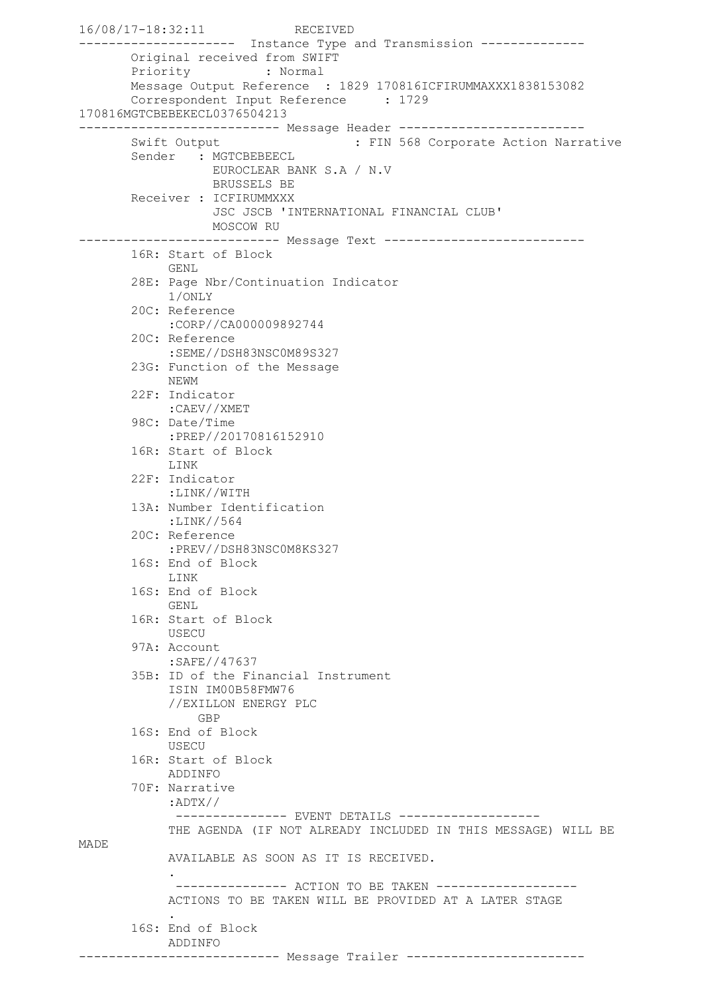```
16/08/17-18:32:11 RECEIVED
--------------------- Instance Type and Transmission --------------
       Original received from SWIFT
       Priority : Normal
       Message Output Reference : 1829 170816ICFIRUMMAXXX1838153082
       Correspondent Input Reference : 1729
170816MGTCBEBEKECL0376504213
--------------------------- Message Header -------------------------
      Swift Output : FIN 568 Corporate Action Narrative
       Sender : MGTCBEBEECL
                  EUROCLEAR BANK S.A / N.V
                  BRUSSELS BE
       Receiver : ICFIRUMMXXX
                   JSC JSCB 'INTERNATIONAL FINANCIAL CLUB'
                 MOSCOW RU
--------------------------- Message Text ---------------------------
        16R: Start of Block
             GENL
        28E: Page Nbr/Continuation Indicator
             1/ONLY
        20C: Reference
             :CORP//CA000009892744
        20C: Reference
            :SEME//DSH83NSC0M89S327
        23G: Function of the Message
            NEWM
        22F: Indicator
             :CAEV//XMET
        98C: Date/Time
             :PREP//20170816152910
        16R: Start of Block
             LINK
        22F: Indicator
            :LINK//WITH
        13A: Number Identification
             :LINK//564
        20C: Reference
             :PREV//DSH83NSC0M8KS327
        16S: End of Block
             LINK
        16S: End of Block
            GENL
        16R: Start of Block
            USECU
        97A: Account
             :SAFE//47637
        35B: ID of the Financial Instrument
             ISIN IM00B58FMW76
             //EXILLON ENERGY PLC
                GBP
        16S: End of Block
             USECU
        16R: Start of Block
             ADDINFO
        70F: Narrative
             :ADTX//
             --------------    EVENT DETAILS    ------------------
             THE AGENDA (IF NOT ALREADY INCLUDED IN THIS MESSAGE) WILL BE 
MADE
             AVAILABLE AS SOON AS IT IS RECEIVED.
 .
              --------------- ACTION TO BE TAKEN -------------------
             ACTIONS TO BE TAKEN WILL BE PROVIDED AT A LATER STAGE
 .
        16S: End of Block
            ADDINFO
--------------------------- Message Trailer ------------------------
```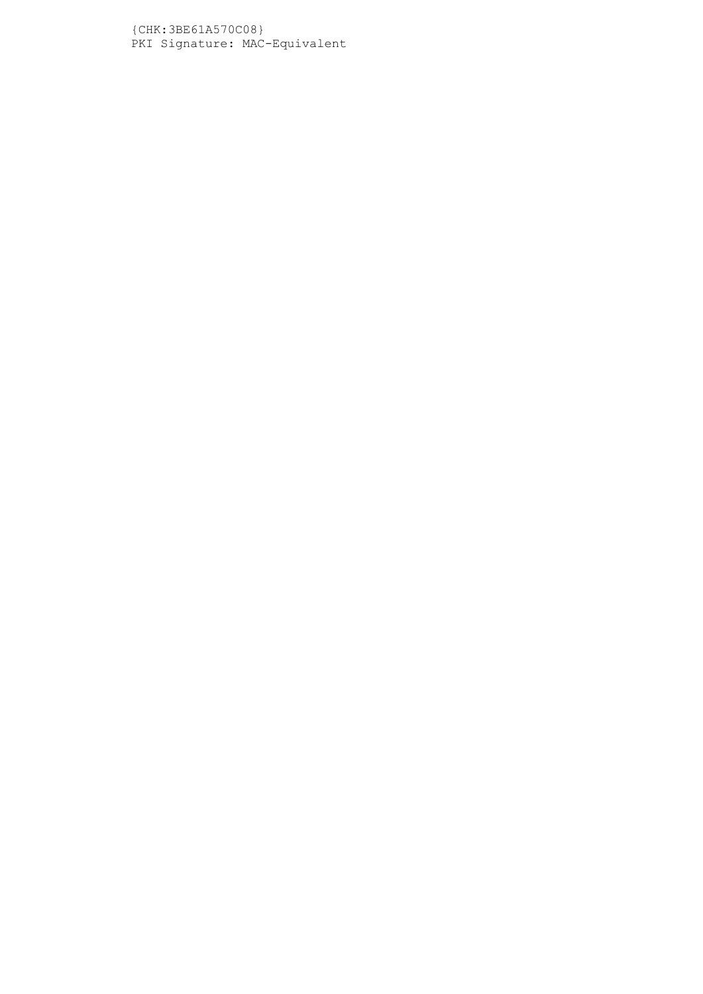{CHK:3BE61A570C08} PKI Signature: MAC-Equivalent